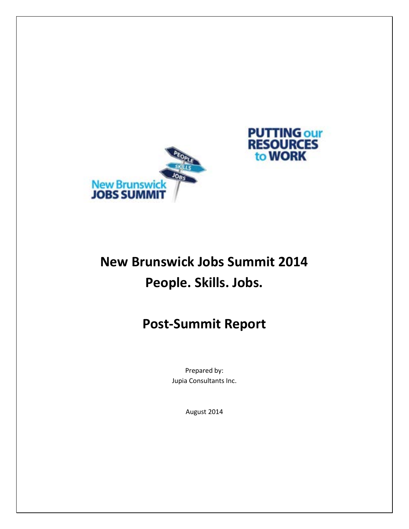



# **New Brunswick Jobs Summit 2014 People. Skills. Jobs.**

# **Post-Summit Report**

Prepared by: Jupia Consultants Inc.

August 2014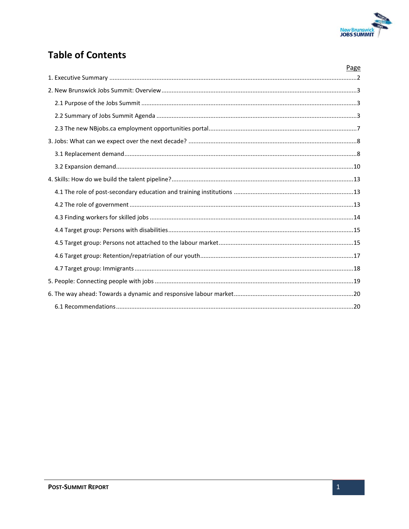

# **Table of Contents**

| Page |
|------|
|      |
|      |
|      |
|      |
|      |
|      |
|      |
|      |
|      |
|      |
|      |
|      |
|      |
|      |
|      |
|      |
|      |
|      |
|      |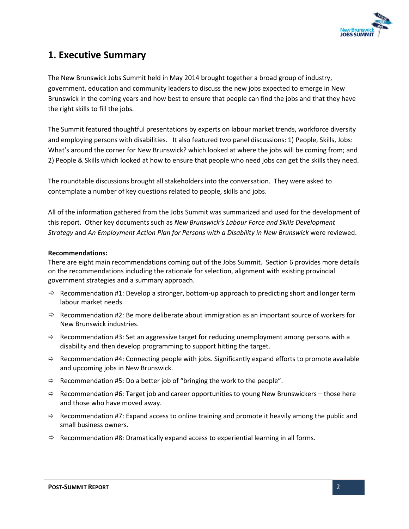

### <span id="page-2-0"></span>**1. Executive Summary**

The New Brunswick Jobs Summit held in May 2014 brought together a broad group of industry, government, education and community leaders to discuss the new jobs expected to emerge in New Brunswick in the coming years and how best to ensure that people can find the jobs and that they have the right skills to fill the jobs.

The Summit featured thoughtful presentations by experts on labour market trends, workforce diversity and employing persons with disabilities. It also featured two panel discussions: 1) People, Skills, Jobs: What's around the corner for New Brunswick? which looked at where the jobs will be coming from; and 2) People & Skills which looked at how to ensure that people who need jobs can get the skills they need.

The roundtable discussions brought all stakeholders into the conversation. They were asked to contemplate a number of key questions related to people, skills and jobs.

All of the information gathered from the Jobs Summit was summarized and used for the development of this report. Other key documents such as *New Brunswick's Labour Force and Skills Development Strategy* and *An Employment Action Plan for Persons with a Disability in New Brunswick* were reviewed.

#### **Recommendations:**

There are eight main recommendations coming out of the Jobs Summit. Section 6 provides more details on the recommendations including the rationale for selection, alignment with existing provincial government strategies and a summary approach.

- $\Rightarrow$  Recommendation #1: Develop a stronger, bottom-up approach to predicting short and longer term labour market needs.
- $\Rightarrow$  Recommendation #2: Be more deliberate about immigration as an important source of workers for New Brunswick industries.
- $\Rightarrow$  Recommendation #3: Set an aggressive target for reducing unemployment among persons with a disability and then develop programming to support hitting the target.
- $\Rightarrow$  Recommendation #4: Connecting people with jobs. Significantly expand efforts to promote available and upcoming jobs in New Brunswick.
- $\Rightarrow$  Recommendation #5: Do a better job of "bringing the work to the people".
- $\Rightarrow$  Recommendation #6: Target job and career opportunities to young New Brunswickers those here and those who have moved away.
- $\Rightarrow$  Recommendation #7: Expand access to online training and promote it heavily among the public and small business owners.
- $\Rightarrow$  Recommendation #8: Dramatically expand access to experiential learning in all forms.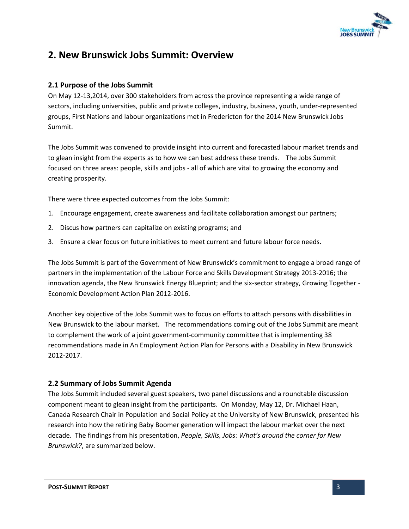

## <span id="page-3-0"></span>**2. New Brunswick Jobs Summit: Overview**

#### <span id="page-3-1"></span>**2.1 Purpose of the Jobs Summit**

On May 12-13,2014, over 300 stakeholders from across the province representing a wide range of sectors, including universities, public and private colleges, industry, business, youth, under-represented groups, First Nations and labour organizations met in Fredericton for the 2014 New Brunswick Jobs Summit.

The Jobs Summit was convened to provide insight into current and forecasted labour market trends and to glean insight from the experts as to how we can best address these trends. The Jobs Summit focused on three areas: people, skills and jobs - all of which are vital to growing the economy and creating prosperity.

There were three expected outcomes from the Jobs Summit:

- 1. Encourage engagement, create awareness and facilitate collaboration amongst our partners;
- 2. Discus how partners can capitalize on existing programs; and
- 3. Ensure a clear focus on future initiatives to meet current and future labour force needs.

The Jobs Summit is part of the Government of New Brunswick's commitment to engage a broad range of partners in the implementation of the Labour Force and Skills Development Strategy 2013-2016; the innovation agenda, the New Brunswick Energy Blueprint; and the six-sector strategy, Growing Together - Economic Development Action Plan 2012-2016.

Another key objective of the Jobs Summit was to focus on efforts to attach persons with disabilities in New Brunswick to the labour market. The recommendations coming out of the Jobs Summit are meant to complement the work of a joint government-community committee that is implementing 38 recommendations made in An Employment Action Plan for Persons with a Disability in New Brunswick 2012-2017.

#### <span id="page-3-2"></span>**2.2 Summary of Jobs Summit Agenda**

The Jobs Summit included several guest speakers, two panel discussions and a roundtable discussion component meant to glean insight from the participants. On Monday, May 12, Dr. Michael Haan, Canada Research Chair in Population and Social Policy at the University of New Brunswick, presented his research into how the retiring Baby Boomer generation will impact the labour market over the next decade. The findings from his presentation, *People, Skills, Jobs: What's around the corner for New Brunswick?*, are summarized below.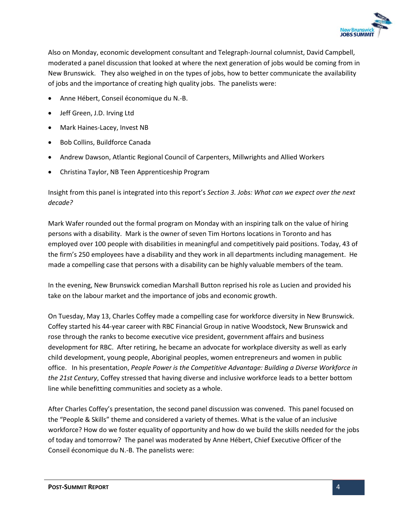

Also on Monday, economic development consultant and Telegraph-Journal columnist, David Campbell, moderated a panel discussion that looked at where the next generation of jobs would be coming from in New Brunswick. They also weighed in on the types of jobs, how to better communicate the availability of jobs and the importance of creating high quality jobs. The panelists were:

- Anne Hébert, Conseil économique du N.-B.
- Jeff Green, J.D. Irving Ltd
- Mark Haines-Lacey, Invest NB
- Bob Collins, Buildforce Canada
- Andrew Dawson, Atlantic Regional Council of Carpenters, Millwrights and Allied Workers
- Christina Taylor, NB Teen Apprenticeship Program

Insight from this panel is integrated into this report's *Section 3. Jobs: What can we expect over the next decade?*

Mark Wafer rounded out the formal program on Monday with an inspiring talk on the value of hiring persons with a disability. Mark is the owner of seven Tim Hortons locations in Toronto and has employed over 100 people with disabilities in meaningful and competitively paid positions. Today, 43 of the firm's 250 employees have a disability and they work in all departments including management. He made a compelling case that persons with a disability can be highly valuable members of the team.

In the evening, New Brunswick comedian Marshall Button reprised his role as Lucien and provided his take on the labour market and the importance of jobs and economic growth.

On Tuesday, May 13, Charles Coffey made a compelling case for workforce diversity in New Brunswick. Coffey started his 44-year career with RBC Financial Group in native Woodstock, New Brunswick and rose through the ranks to become executive vice president, government affairs and business development for RBC. After retiring, he became an advocate for workplace diversity as well as early child development, young people, Aboriginal peoples, women entrepreneurs and women in public office. In his presentation, *People Power is the Competitive Advantage: Building a Diverse Workforce in the 21st Century*, Coffey stressed that having diverse and inclusive workforce leads to a better bottom line while benefitting communities and society as a whole.

After Charles Coffey's presentation, the second panel discussion was convened. This panel focused on the "People & Skills" theme and considered a variety of themes. What is the value of an inclusive workforce? How do we foster equality of opportunity and how do we build the skills needed for the jobs of today and tomorrow? The panel was moderated by Anne Hébert, Chief Executive Officer of the Conseil économique du N.-B. The panelists were: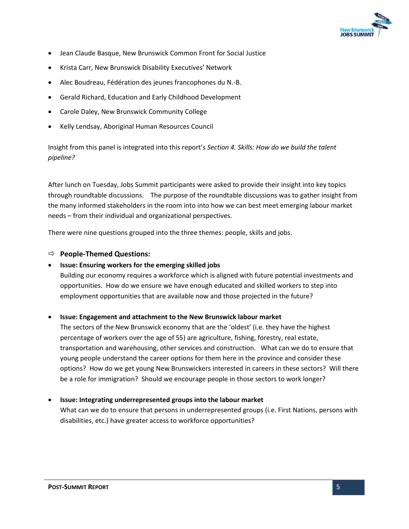

- Jean Claude Basque, New Brunswick Common Front for Social Justice
- Krista Carr, New Brunswick Disability Executives' Network
- Alec Boudreau, Fédération des jeunes francophones du N.-B.
- Gerald Richard, Education and Early Childhood Development
- Carole Daley, New Brunswick Community College
- Kelly Lendsay, Aboriginal Human Resources Council

Insight from this panel is integrated into this report's *Section 4. Skills: How do we build the talent pipeline?*

After lunch on Tuesday, Jobs Summit participants were asked to provide their insight into key topics through roundtable discussions. The purpose of the roundtable discussions was to gather insight from the many informed stakeholders in the room into into how we can best meet emerging labour market needs – from their individual and organizational perspectives.

There were nine questions grouped into the three themes: people, skills and jobs.

#### **People-Themed Questions:**

#### **Issue: Ensuring workers for the emerging skilled jobs**

Building our economy requires a workforce which is aligned with future potential investments and opportunities. How do we ensure we have enough educated and skilled workers to step into employment opportunities that are available now and those projected in the future?

#### **Issue: Engagement and attachment to the New Brunswick labour market**

The sectors of the New Brunswick economy that are the 'oldest' (i.e. they have the highest percentage of workers over the age of 55) are agriculture, fishing, forestry, real estate, transportation and warehousing, other services and construction. What can we do to ensure that young people understand the career options for them here in the province and consider these options? How do we get young New Brunswickers interested in careers in these sectors? Will there be a role for immigration? Should we encourage people in those sectors to work longer?

#### **Issue: Integrating underrepresented groups into the labour market**

What can we do to ensure that persons in underrepresented groups (i.e. First Nations, persons with disabilities, etc.) have greater access to workforce opportunities?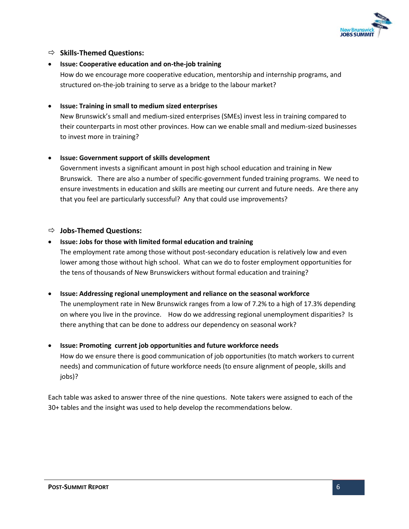

#### **Skills-Themed Questions:**

**Issue: Cooperative education and on-the-job training** 

How do we encourage more cooperative education, mentorship and internship programs, and structured on-the-job training to serve as a bridge to the labour market?

#### **Issue: Training in small to medium sized enterprises**

New Brunswick's small and medium-sized enterprises (SMEs) invest less in training compared to their counterparts in most other provinces. How can we enable small and medium-sized businesses to invest more in training?

#### **Issue: Government support of skills development**

Government invests a significant amount in post high school education and training in New Brunswick. There are also a number of specific-government funded training programs. We need to ensure investments in education and skills are meeting our current and future needs. Are there any that you feel are particularly successful? Any that could use improvements?

#### **Jobs-Themed Questions:**

#### **Issue: Jobs for those with limited formal education and training**

The employment rate among those without post-secondary education is relatively low and even lower among those without high school. What can we do to foster employment opportunities for the tens of thousands of New Brunswickers without formal education and training?

**Issue: Addressing regional unemployment and reliance on the seasonal workforce** 

The unemployment rate in New Brunswick ranges from a low of 7.2% to a high of 17.3% depending on where you live in the province. How do we addressing regional unemployment disparities? Is there anything that can be done to address our dependency on seasonal work?

#### **Issue: Promoting current job opportunities and future workforce needs**

How do we ensure there is good communication of job opportunities (to match workers to current needs) and communication of future workforce needs (to ensure alignment of people, skills and jobs)?

Each table was asked to answer three of the nine questions. Note takers were assigned to each of the 30+ tables and the insight was used to help develop the recommendations below.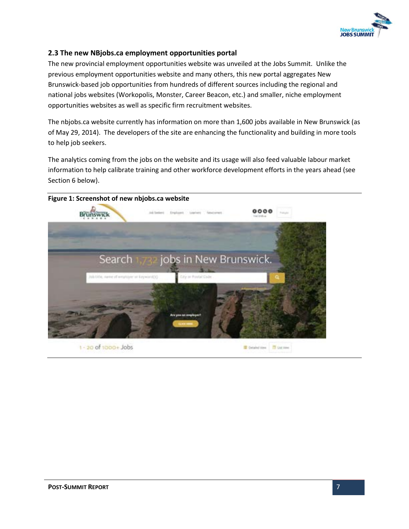

#### <span id="page-7-0"></span>**2.3 The new NBjobs.ca employment opportunities portal**

The new provincial employment opportunities website was unveiled at the Jobs Summit. Unlike the previous employment opportunities website and many others, this new portal aggregates New Brunswick-based job opportunities from hundreds of different sources including the regional and national jobs websites (Workopolis, Monster, Career Beacon, etc.) and smaller, niche employment opportunities websites as well as specific firm recruitment websites.

The nbjobs.ca website currently has information on more than 1,600 jobs available in New Brunswick (as of May 29, 2014). The developers of the site are enhancing the functionality and building in more tools to help job seekers.

The analytics coming from the jobs on the website and its usage will also feed valuable labour market information to help calibrate training and other workforce development efforts in the years ahead (see Section 6 below).

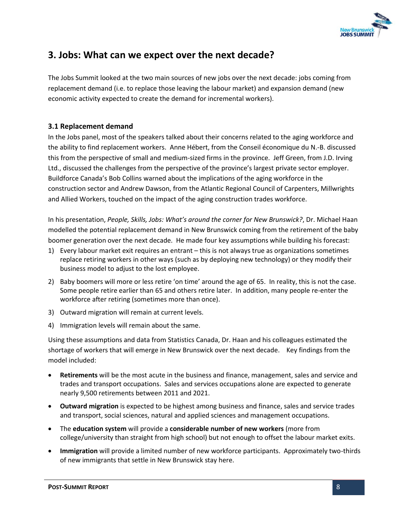

# <span id="page-8-0"></span>**3. Jobs: What can we expect over the next decade?**

The Jobs Summit looked at the two main sources of new jobs over the next decade: jobs coming from replacement demand (i.e. to replace those leaving the labour market) and expansion demand (new economic activity expected to create the demand for incremental workers).

#### <span id="page-8-1"></span>**3.1 Replacement demand**

In the Jobs panel, most of the speakers talked about their concerns related to the aging workforce and the ability to find replacement workers. Anne Hébert, from the Conseil économique du N.-B. discussed this from the perspective of small and medium-sized firms in the province. Jeff Green, from J.D. Irving Ltd., discussed the challenges from the perspective of the province's largest private sector employer. Buildforce Canada's Bob Collins warned about the implications of the aging workforce in the construction sector and Andrew Dawson, from the Atlantic Regional Council of Carpenters, Millwrights and Allied Workers, touched on the impact of the aging construction trades workforce.

In his presentation, *People, Skills, Jobs: What's around the corner for New Brunswick?*, Dr. Michael Haan modelled the potential replacement demand in New Brunswick coming from the retirement of the baby boomer generation over the next decade. He made four key assumptions while building his forecast:

- 1) Every labour market exit requires an entrant this is not always true as organizations sometimes replace retiring workers in other ways (such as by deploying new technology) or they modify their business model to adjust to the lost employee.
- 2) Baby boomers will more or less retire 'on time' around the age of 65. In reality, this is not the case. Some people retire earlier than 65 and others retire later. In addition, many people re-enter the workforce after retiring (sometimes more than once).
- 3) Outward migration will remain at current levels.
- 4) Immigration levels will remain about the same.

Using these assumptions and data from Statistics Canada, Dr. Haan and his colleagues estimated the shortage of workers that will emerge in New Brunswick over the next decade. Key findings from the model included:

- **Retirements** will be the most acute in the business and finance, management, sales and service and trades and transport occupations. Sales and services occupations alone are expected to generate nearly 9,500 retirements between 2011 and 2021.
- **Outward migration** is expected to be highest among business and finance, sales and service trades and transport, social sciences, natural and applied sciences and management occupations.
- The **education system** will provide a **considerable number of new workers** (more from college/university than straight from high school) but not enough to offset the labour market exits.
- **Immigration** will provide a limited number of new workforce participants. Approximately two-thirds of new immigrants that settle in New Brunswick stay here.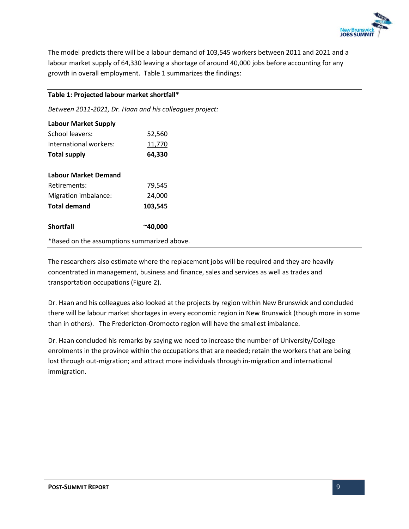

The model predicts there will be a labour demand of 103,545 workers between 2011 and 2021 and a labour market supply of 64,330 leaving a shortage of around 40,000 jobs before accounting for any growth in overall employment. Table 1 summarizes the findings:

#### **Table 1: Projected labour market shortfall\***

*Between 2011-2021, Dr. Haan and his colleagues project:*

| <b>Labour Market Supply</b>                 |                  |
|---------------------------------------------|------------------|
| School leavers:                             | 52,560           |
| International workers:                      | 11,770           |
| <b>Total supply</b>                         | 64,330           |
| <b>Labour Market Demand</b>                 |                  |
| Retirements:                                | 79,545           |
| Migration imbalance:                        | 24,000           |
| <b>Total demand</b>                         | 103,545          |
| <b>Shortfall</b>                            | $^{\sim}$ 40,000 |
| *Based on the assumptions summarized above. |                  |

The researchers also estimate where the replacement jobs will be required and they are heavily concentrated in management, business and finance, sales and services as well as trades and transportation occupations (Figure 2).

Dr. Haan and his colleagues also looked at the projects by region within New Brunswick and concluded there will be labour market shortages in every economic region in New Brunswick (though more in some than in others). The Fredericton-Oromocto region will have the smallest imbalance.

Dr. Haan concluded his remarks by saying we need to increase the number of University/College enrolments in the province within the occupations that are needed; retain the workers that are being lost through out-migration; and attract more individuals through in-migration and international immigration.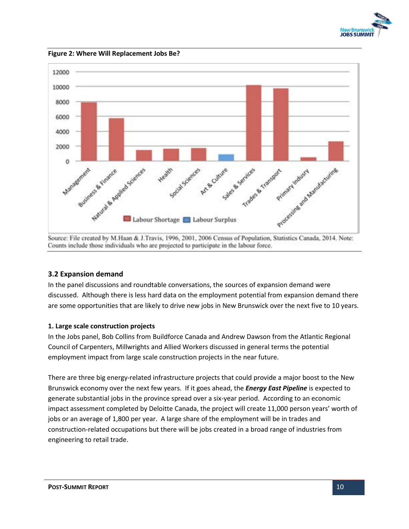

**Figure 2: Where Will Replacement Jobs Be?** 



Source: File created by M.Haan & J.Travis, 1996, 2001, 2006 Census of Population, Statistics Canada, 2014. Note: Counts include those individuals who are projected to participate in the labour force.

#### <span id="page-10-0"></span>**3.2 Expansion demand**

In the panel discussions and roundtable conversations, the sources of expansion demand were discussed. Although there is less hard data on the employment potential from expansion demand there are some opportunities that are likely to drive new jobs in New Brunswick over the next five to 10 years.

#### **1. Large scale construction projects**

In the Jobs panel, Bob Collins from Buildforce Canada and Andrew Dawson from the Atlantic Regional Council of Carpenters, Millwrights and Allied Workers discussed in general terms the potential employment impact from large scale construction projects in the near future.

There are three big energy-related infrastructure projects that could provide a major boost to the New Brunswick economy over the next few years. If it goes ahead, the *Energy East Pipeline* is expected to generate substantial jobs in the province spread over a six-year period. According to an economic impact assessment completed by Deloitte Canada, the project will create 11,000 person years' worth of jobs or an average of 1,800 per year. A large share of the employment will be in trades and construction-related occupations but there will be jobs created in a broad range of industries from engineering to retail trade.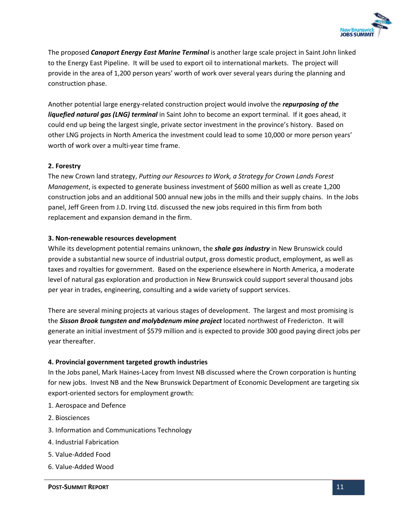

The proposed *Canaport Energy East Marine Terminal* is another large scale project in Saint John linked to the Energy East Pipeline. It will be used to export oil to international markets. The project will provide in the area of 1,200 person years' worth of work over several years during the planning and construction phase.

Another potential large energy-related construction project would involve the *repurposing of the liquefied natural gas (LNG) terminal* in Saint John to become an export terminal. If it goes ahead, it could end up being the largest single, private sector investment in the province's history. Based on other LNG projects in North America the investment could lead to some 10,000 or more person years' worth of work over a multi-year time frame.

#### **2. Forestry**

The new Crown land strategy, *Putting our Resources to Work, a Strategy for Crown Lands Forest Management*, is expected to generate business investment of \$600 million as well as create 1,200 construction jobs and an additional 500 annual new jobs in the mills and their supply chains. In the Jobs panel, Jeff Green from J.D. Irving Ltd. discussed the new jobs required in this firm from both replacement and expansion demand in the firm.

#### **3. Non-renewable resources development**

While its development potential remains unknown, the *shale gas industry* in New Brunswick could provide a substantial new source of industrial output, gross domestic product, employment, as well as taxes and royalties for government. Based on the experience elsewhere in North America, a moderate level of natural gas exploration and production in New Brunswick could support several thousand jobs per year in trades, engineering, consulting and a wide variety of support services.

There are several mining projects at various stages of development. The largest and most promising is the *Sisson Brook tungsten and molybdenum mine project* located northwest of Fredericton. It will generate an initial investment of \$579 million and is expected to provide 300 good paying direct jobs per year thereafter.

#### **4. Provincial government targeted growth industries**

In the Jobs panel, Mark Haines-Lacey from Invest NB discussed where the Crown corporation is hunting for new jobs. Invest NB and the New Brunswick Department of Economic Development are targeting six export-oriented sectors for employment growth:

- 1. Aerospace and Defence
- 2. Biosciences
- 3. Information and Communications Technology
- 4. Industrial Fabrication
- 5. Value-Added Food
- 6. Value-Added Wood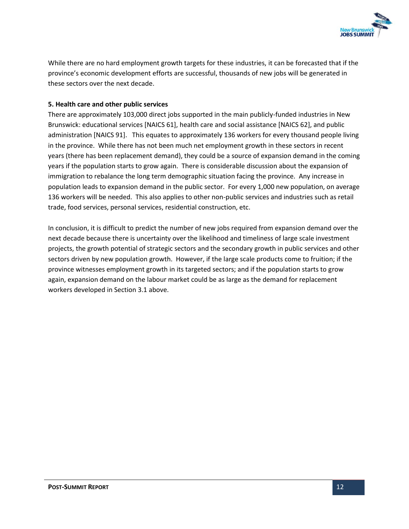

While there are no hard employment growth targets for these industries, it can be forecasted that if the province's economic development efforts are successful, thousands of new jobs will be generated in these sectors over the next decade.

#### **5. Health care and other public services**

There are approximately 103,000 direct jobs supported in the main publicly-funded industries in New Brunswick: educational services [NAICS 61], health care and social assistance [NAICS 62], and public administration [NAICS 91]. This equates to approximately 136 workers for every thousand people living in the province. While there has not been much net employment growth in these sectors in recent years (there has been replacement demand), they could be a source of expansion demand in the coming years if the population starts to grow again. There is considerable discussion about the expansion of immigration to rebalance the long term demographic situation facing the province. Any increase in population leads to expansion demand in the public sector. For every 1,000 new population, on average 136 workers will be needed. This also applies to other non-public services and industries such as retail trade, food services, personal services, residential construction, etc.

In conclusion, it is difficult to predict the number of new jobs required from expansion demand over the next decade because there is uncertainty over the likelihood and timeliness of large scale investment projects, the growth potential of strategic sectors and the secondary growth in public services and other sectors driven by new population growth. However, if the large scale products come to fruition; if the province witnesses employment growth in its targeted sectors; and if the population starts to grow again, expansion demand on the labour market could be as large as the demand for replacement workers developed in Section 3.1 above.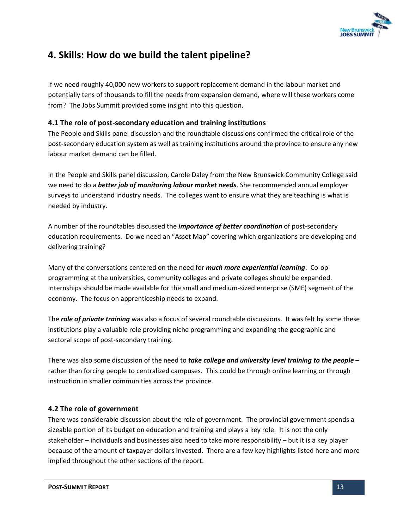

# <span id="page-13-0"></span>**4. Skills: How do we build the talent pipeline?**

If we need roughly 40,000 new workers to support replacement demand in the labour market and potentially tens of thousands to fill the needs from expansion demand, where will these workers come from? The Jobs Summit provided some insight into this question.

#### <span id="page-13-1"></span>**4.1 The role of post-secondary education and training institutions**

The People and Skills panel discussion and the roundtable discussions confirmed the critical role of the post-secondary education system as well as training institutions around the province to ensure any new labour market demand can be filled.

In the People and Skills panel discussion, Carole Daley from the New Brunswick Community College said we need to do a *better job of monitoring labour market needs*. She recommended annual employer surveys to understand industry needs. The colleges want to ensure what they are teaching is what is needed by industry.

A number of the roundtables discussed the *importance of better coordination* of post-secondary education requirements. Do we need an "Asset Map" covering which organizations are developing and delivering training?

Many of the conversations centered on the need for *much more experiential learning*. Co-op programming at the universities, community colleges and private colleges should be expanded. Internships should be made available for the small and medium-sized enterprise (SME) segment of the economy. The focus on apprenticeship needs to expand.

The *role of private training* was also a focus of several roundtable discussions. It was felt by some these institutions play a valuable role providing niche programming and expanding the geographic and sectoral scope of post-secondary training.

There was also some discussion of the need to *take college and university level training to the people* – rather than forcing people to centralized campuses. This could be through online learning or through instruction in smaller communities across the province.

#### <span id="page-13-2"></span>**4.2 The role of government**

There was considerable discussion about the role of government. The provincial government spends a sizeable portion of its budget on education and training and plays a key role. It is not the only stakeholder – individuals and businesses also need to take more responsibility – but it is a key player because of the amount of taxpayer dollars invested. There are a few key highlights listed here and more implied throughout the other sections of the report.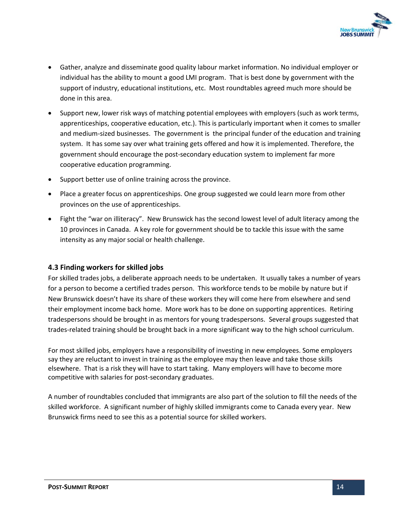

- Gather, analyze and disseminate good quality labour market information. No individual employer or individual has the ability to mount a good LMI program. That is best done by government with the support of industry, educational institutions, etc. Most roundtables agreed much more should be done in this area.
- Support new, lower risk ways of matching potential employees with employers (such as work terms, apprenticeships, cooperative education, etc.). This is particularly important when it comes to smaller and medium-sized businesses. The government is the principal funder of the education and training system. It has some say over what training gets offered and how it is implemented. Therefore, the government should encourage the post-secondary education system to implement far more cooperative education programming.
- Support better use of online training across the province.
- Place a greater focus on apprenticeships. One group suggested we could learn more from other provinces on the use of apprenticeships.
- Fight the "war on illiteracy". New Brunswick has the second lowest level of adult literacy among the 10 provinces in Canada. A key role for government should be to tackle this issue with the same intensity as any major social or health challenge.

#### <span id="page-14-0"></span>**4.3 Finding workers for skilled jobs**

For skilled trades jobs, a deliberate approach needs to be undertaken. It usually takes a number of years for a person to become a certified trades person. This workforce tends to be mobile by nature but if New Brunswick doesn't have its share of these workers they will come here from elsewhere and send their employment income back home. More work has to be done on supporting apprentices. Retiring tradespersons should be brought in as mentors for young tradespersons. Several groups suggested that trades-related training should be brought back in a more significant way to the high school curriculum.

For most skilled jobs, employers have a responsibility of investing in new employees. Some employers say they are reluctant to invest in training as the employee may then leave and take those skills elsewhere. That is a risk they will have to start taking. Many employers will have to become more competitive with salaries for post-secondary graduates.

A number of roundtables concluded that immigrants are also part of the solution to fill the needs of the skilled workforce. A significant number of highly skilled immigrants come to Canada every year. New Brunswick firms need to see this as a potential source for skilled workers.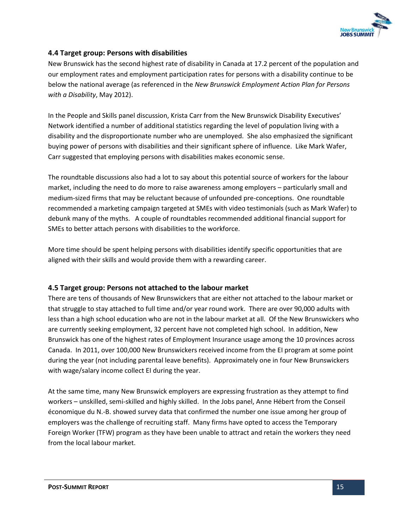

#### <span id="page-15-0"></span>**4.4 Target group: Persons with disabilities**

New Brunswick has the second highest rate of disability in Canada at 17.2 percent of the population and our employment rates and employment participation rates for persons with a disability continue to be below the national average (as referenced in the *New Brunswick Employment Action Plan for Persons with a Disability*, May 2012).

In the People and Skills panel discussion, Krista Carr from the New Brunswick Disability Executives' Network identified a number of additional statistics regarding the level of population living with a disability and the disproportionate number who are unemployed. She also emphasized the significant buying power of persons with disabilities and their significant sphere of influence. Like Mark Wafer, Carr suggested that employing persons with disabilities makes economic sense.

The roundtable discussions also had a lot to say about this potential source of workers for the labour market, including the need to do more to raise awareness among employers – particularly small and medium-sized firms that may be reluctant because of unfounded pre-conceptions. One roundtable recommended a marketing campaign targeted at SMEs with video testimonials (such as Mark Wafer) to debunk many of the myths. A couple of roundtables recommended additional financial support for SMEs to better attach persons with disabilities to the workforce.

More time should be spent helping persons with disabilities identify specific opportunities that are aligned with their skills and would provide them with a rewarding career.

#### <span id="page-15-1"></span>**4.5 Target group: Persons not attached to the labour market**

There are tens of thousands of New Brunswickers that are either not attached to the labour market or that struggle to stay attached to full time and/or year round work. There are over 90,000 adults with less than a high school education who are not in the labour market at all. Of the New Brunswickers who are currently seeking employment, 32 percent have not completed high school. In addition, New Brunswick has one of the highest rates of Employment Insurance usage among the 10 provinces across Canada. In 2011, over 100,000 New Brunswickers received income from the EI program at some point during the year (not including parental leave benefits). Approximately one in four New Brunswickers with wage/salary income collect EI during the year.

At the same time, many New Brunswick employers are expressing frustration as they attempt to find workers – unskilled, semi-skilled and highly skilled. In the Jobs panel, Anne Hébert from the Conseil économique du N.-B. showed survey data that confirmed the number one issue among her group of employers was the challenge of recruiting staff. Many firms have opted to access the Temporary Foreign Worker (TFW) program as they have been unable to attract and retain the workers they need from the local labour market.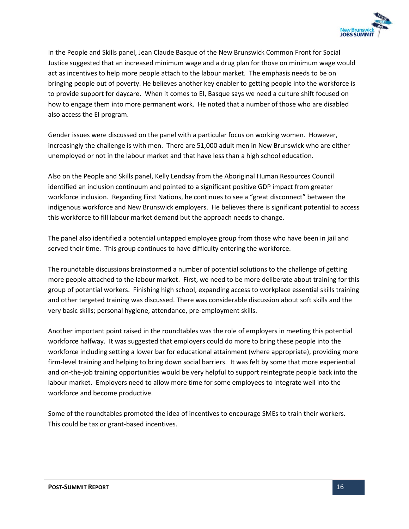

In the People and Skills panel, Jean Claude Basque of the New Brunswick Common Front for Social Justice suggested that an increased minimum wage and a drug plan for those on minimum wage would act as incentives to help more people attach to the labour market. The emphasis needs to be on bringing people out of poverty. He believes another key enabler to getting people into the workforce is to provide support for daycare. When it comes to EI, Basque says we need a culture shift focused on how to engage them into more permanent work. He noted that a number of those who are disabled also access the EI program.

Gender issues were discussed on the panel with a particular focus on working women. However, increasingly the challenge is with men. There are 51,000 adult men in New Brunswick who are either unemployed or not in the labour market and that have less than a high school education.

Also on the People and Skills panel, Kelly Lendsay from the Aboriginal Human Resources Council identified an inclusion continuum and pointed to a significant positive GDP impact from greater workforce inclusion. Regarding First Nations, he continues to see a "great disconnect" between the indigenous workforce and New Brunswick employers. He believes there is significant potential to access this workforce to fill labour market demand but the approach needs to change.

The panel also identified a potential untapped employee group from those who have been in jail and served their time. This group continues to have difficulty entering the workforce.

The roundtable discussions brainstormed a number of potential solutions to the challenge of getting more people attached to the labour market. First, we need to be more deliberate about training for this group of potential workers. Finishing high school, expanding access to workplace essential skills training and other targeted training was discussed. There was considerable discussion about soft skills and the very basic skills; personal hygiene, attendance, pre-employment skills.

Another important point raised in the roundtables was the role of employers in meeting this potential workforce halfway. It was suggested that employers could do more to bring these people into the workforce including setting a lower bar for educational attainment (where appropriate), providing more firm-level training and helping to bring down social barriers. It was felt by some that more experiential and on-the-job training opportunities would be very helpful to support reintegrate people back into the labour market. Employers need to allow more time for some employees to integrate well into the workforce and become productive.

Some of the roundtables promoted the idea of incentives to encourage SMEs to train their workers. This could be tax or grant-based incentives.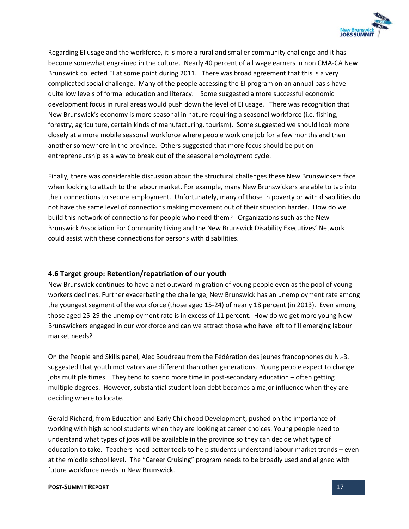

Regarding EI usage and the workforce, it is more a rural and smaller community challenge and it has become somewhat engrained in the culture. Nearly 40 percent of all wage earners in non CMA-CA New Brunswick collected EI at some point during 2011. There was broad agreement that this is a very complicated social challenge. Many of the people accessing the EI program on an annual basis have quite low levels of formal education and literacy. Some suggested a more successful economic development focus in rural areas would push down the level of EI usage. There was recognition that New Brunswick's economy is more seasonal in nature requiring a seasonal workforce (i.e. fishing, forestry, agriculture, certain kinds of manufacturing, tourism). Some suggested we should look more closely at a more mobile seasonal workforce where people work one job for a few months and then another somewhere in the province. Others suggested that more focus should be put on entrepreneurship as a way to break out of the seasonal employment cycle.

Finally, there was considerable discussion about the structural challenges these New Brunswickers face when looking to attach to the labour market. For example, many New Brunswickers are able to tap into their connections to secure employment. Unfortunately, many of those in poverty or with disabilities do not have the same level of connections making movement out of their situation harder. How do we build this network of connections for people who need them? Organizations such as the New Brunswick Association For Community Living and the New Brunswick Disability Executives' Network could assist with these connections for persons with disabilities.

#### <span id="page-17-0"></span>**4.6 Target group: Retention/repatriation of our youth**

New Brunswick continues to have a net outward migration of young people even as the pool of young workers declines. Further exacerbating the challenge, New Brunswick has an unemployment rate among the youngest segment of the workforce (those aged 15-24) of nearly 18 percent (in 2013). Even among those aged 25-29 the unemployment rate is in excess of 11 percent. How do we get more young New Brunswickers engaged in our workforce and can we attract those who have left to fill emerging labour market needs?

On the People and Skills panel, Alec Boudreau from the Fédération des jeunes francophones du N.-B. suggested that youth motivators are different than other generations. Young people expect to change jobs multiple times. They tend to spend more time in post-secondary education – often getting multiple degrees. However, substantial student loan debt becomes a major influence when they are deciding where to locate.

Gerald Richard, from Education and Early Childhood Development, pushed on the importance of working with high school students when they are looking at career choices. Young people need to understand what types of jobs will be available in the province so they can decide what type of education to take. Teachers need better tools to help students understand labour market trends – even at the middle school level. The "Career Cruising" program needs to be broadly used and aligned with future workforce needs in New Brunswick.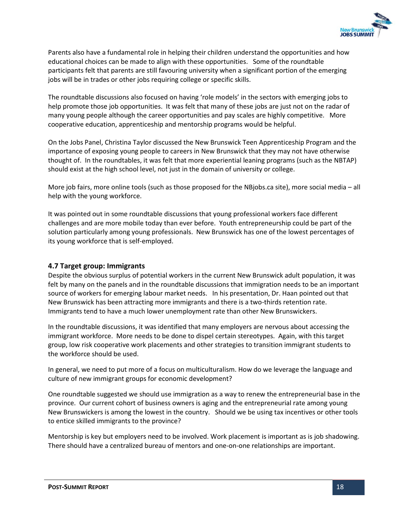

Parents also have a fundamental role in helping their children understand the opportunities and how educational choices can be made to align with these opportunities. Some of the roundtable participants felt that parents are still favouring university when a significant portion of the emerging jobs will be in trades or other jobs requiring college or specific skills.

The roundtable discussions also focused on having 'role models' in the sectors with emerging jobs to help promote those job opportunities. It was felt that many of these jobs are just not on the radar of many young people although the career opportunities and pay scales are highly competitive. More cooperative education, apprenticeship and mentorship programs would be helpful.

On the Jobs Panel, Christina Taylor discussed the New Brunswick Teen Apprenticeship Program and the importance of exposing young people to careers in New Brunswick that they may not have otherwise thought of. In the roundtables, it was felt that more experiential leaning programs (such as the NBTAP) should exist at the high school level, not just in the domain of university or college.

More job fairs, more online tools (such as those proposed for the NBjobs.ca site), more social media – all help with the young workforce.

It was pointed out in some roundtable discussions that young professional workers face different challenges and are more mobile today than ever before. Youth entrepreneurship could be part of the solution particularly among young professionals. New Brunswick has one of the lowest percentages of its young workforce that is self-employed.

#### <span id="page-18-0"></span>**4.7 Target group: Immigrants**

Despite the obvious surplus of potential workers in the current New Brunswick adult population, it was felt by many on the panels and in the roundtable discussions that immigration needs to be an important source of workers for emerging labour market needs. In his presentation, Dr. Haan pointed out that New Brunswick has been attracting more immigrants and there is a two-thirds retention rate. Immigrants tend to have a much lower unemployment rate than other New Brunswickers.

In the roundtable discussions, it was identified that many employers are nervous about accessing the immigrant workforce. More needs to be done to dispel certain stereotypes. Again, with this target group, low risk cooperative work placements and other strategies to transition immigrant students to the workforce should be used.

In general, we need to put more of a focus on multiculturalism. How do we leverage the language and culture of new immigrant groups for economic development?

One roundtable suggested we should use immigration as a way to renew the entrepreneurial base in the province. Our current cohort of business owners is aging and the entrepreneurial rate among young New Brunswickers is among the lowest in the country. Should we be using tax incentives or other tools to entice skilled immigrants to the province?

Mentorship is key but employers need to be involved. Work placement is important as is job shadowing. There should have a centralized bureau of mentors and one-on-one relationships are important.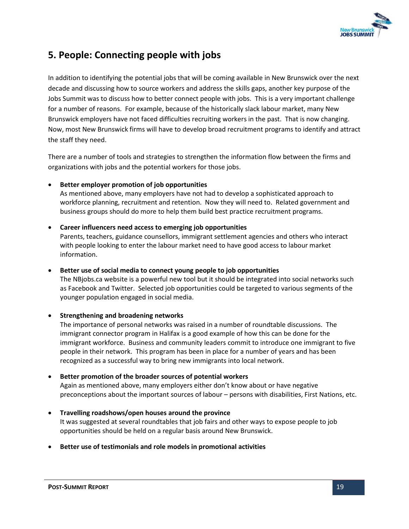

# <span id="page-19-0"></span>**5. People: Connecting people with jobs**

In addition to identifying the potential jobs that will be coming available in New Brunswick over the next decade and discussing how to source workers and address the skills gaps, another key purpose of the Jobs Summit was to discuss how to better connect people with jobs. This is a very important challenge for a number of reasons. For example, because of the historically slack labour market, many New Brunswick employers have not faced difficulties recruiting workers in the past. That is now changing. Now, most New Brunswick firms will have to develop broad recruitment programs to identify and attract the staff they need.

There are a number of tools and strategies to strengthen the information flow between the firms and organizations with jobs and the potential workers for those jobs.

**Better employer promotion of job opportunities** 

As mentioned above, many employers have not had to develop a sophisticated approach to workforce planning, recruitment and retention. Now they will need to. Related government and business groups should do more to help them build best practice recruitment programs.

**Career influencers need access to emerging job opportunities** 

Parents, teachers, guidance counsellors, immigrant settlement agencies and others who interact with people looking to enter the labour market need to have good access to labour market information.

 **Better use of social media to connect young people to job opportunities**  The NBjobs.ca website is a powerful new tool but it should be integrated into social networks such as Facebook and Twitter. Selected job opportunities could be targeted to various segments of the younger population engaged in social media.

#### **Strengthening and broadening networks**

The importance of personal networks was raised in a number of roundtable discussions. The immigrant connector program in Halifax is a good example of how this can be done for the immigrant workforce. Business and community leaders commit to introduce one immigrant to five people in their network. This program has been in place for a number of years and has been recognized as a successful way to bring new immigrants into local network.

#### **Better promotion of the broader sources of potential workers**

Again as mentioned above, many employers either don't know about or have negative preconceptions about the important sources of labour – persons with disabilities, First Nations, etc.

- **Travelling roadshows/open houses around the province**  It was suggested at several roundtables that job fairs and other ways to expose people to job opportunities should be held on a regular basis around New Brunswick.
- **Better use of testimonials and role models in promotional activities**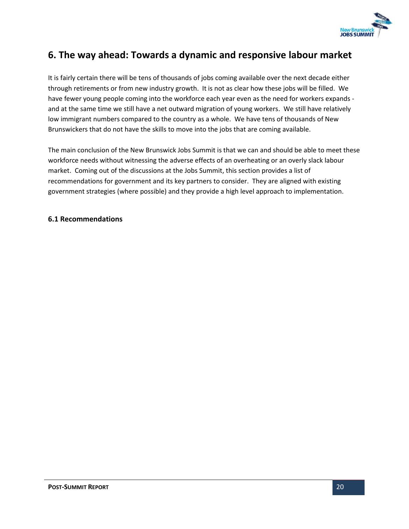

# <span id="page-20-0"></span>**6. The way ahead: Towards a dynamic and responsive labour market**

It is fairly certain there will be tens of thousands of jobs coming available over the next decade either through retirements or from new industry growth. It is not as clear how these jobs will be filled. We have fewer young people coming into the workforce each year even as the need for workers expands and at the same time we still have a net outward migration of young workers. We still have relatively low immigrant numbers compared to the country as a whole. We have tens of thousands of New Brunswickers that do not have the skills to move into the jobs that are coming available.

The main conclusion of the New Brunswick Jobs Summit is that we can and should be able to meet these workforce needs without witnessing the adverse effects of an overheating or an overly slack labour market. Coming out of the discussions at the Jobs Summit, this section provides a list of recommendations for government and its key partners to consider. They are aligned with existing government strategies (where possible) and they provide a high level approach to implementation.

#### <span id="page-20-1"></span>**6.1 Recommendations**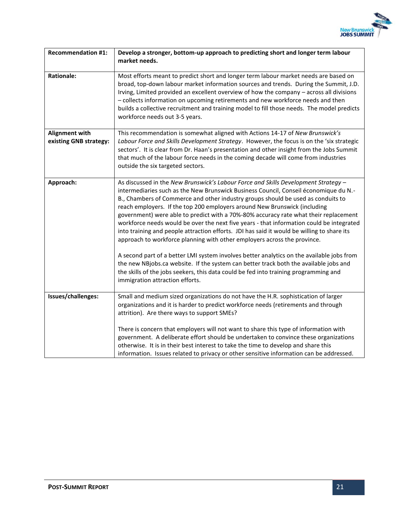

| <b>Recommendation #1:</b>                | Develop a stronger, bottom-up approach to predicting short and longer term labour<br>market needs.                                                                                                                                                                                                                                                                                                                                                                                                                                                                                                                                                                                                                                                                                                                                                                                                                                                                                                                         |
|------------------------------------------|----------------------------------------------------------------------------------------------------------------------------------------------------------------------------------------------------------------------------------------------------------------------------------------------------------------------------------------------------------------------------------------------------------------------------------------------------------------------------------------------------------------------------------------------------------------------------------------------------------------------------------------------------------------------------------------------------------------------------------------------------------------------------------------------------------------------------------------------------------------------------------------------------------------------------------------------------------------------------------------------------------------------------|
| <b>Rationale:</b>                        | Most efforts meant to predict short and longer term labour market needs are based on<br>broad, top-down labour market information sources and trends. During the Summit, J.D.<br>Irving, Limited provided an excellent overview of how the company - across all divisions<br>- collects information on upcoming retirements and new workforce needs and then<br>builds a collective recruitment and training model to fill those needs. The model predicts<br>workforce needs out 3-5 years.                                                                                                                                                                                                                                                                                                                                                                                                                                                                                                                               |
| Alignment with<br>existing GNB strategy: | This recommendation is somewhat aligned with Actions 14-17 of New Brunswick's<br>Labour Force and Skills Development Strategy. However, the focus is on the 'six strategic<br>sectors'. It is clear from Dr. Haan's presentation and other insight from the Jobs Summit<br>that much of the labour force needs in the coming decade will come from industries<br>outside the six targeted sectors.                                                                                                                                                                                                                                                                                                                                                                                                                                                                                                                                                                                                                         |
| Approach:                                | As discussed in the New Brunswick's Labour Force and Skills Development Strategy -<br>intermediaries such as the New Brunswick Business Council, Conseil économique du N.-<br>B., Chambers of Commerce and other industry groups should be used as conduits to<br>reach employers. If the top 200 employers around New Brunswick (including<br>government) were able to predict with a 70%-80% accuracy rate what their replacement<br>workforce needs would be over the next five years - that information could be integrated<br>into training and people attraction efforts. JDI has said it would be willing to share its<br>approach to workforce planning with other employers across the province.<br>A second part of a better LMI system involves better analytics on the available jobs from<br>the new NBjobs.ca website. If the system can better track both the available jobs and<br>the skills of the jobs seekers, this data could be fed into training programming and<br>immigration attraction efforts. |
| Issues/challenges:                       | Small and medium sized organizations do not have the H.R. sophistication of larger<br>organizations and it is harder to predict workforce needs (retirements and through<br>attrition). Are there ways to support SMEs?<br>There is concern that employers will not want to share this type of information with<br>government. A deliberate effort should be undertaken to convince these organizations<br>otherwise. It is in their best interest to take the time to develop and share this<br>information. Issues related to privacy or other sensitive information can be addressed.                                                                                                                                                                                                                                                                                                                                                                                                                                   |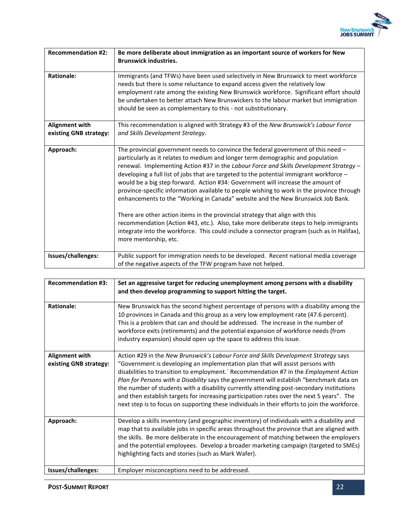

| <b>Recommendation #2:</b>                | Be more deliberate about immigration as an important source of workers for New<br><b>Brunswick industries.</b>                                                                                                                                                                                                                                                                                                                                                                                                                                                                                                                                                                                                                                                                                                                                                                                                                |
|------------------------------------------|-------------------------------------------------------------------------------------------------------------------------------------------------------------------------------------------------------------------------------------------------------------------------------------------------------------------------------------------------------------------------------------------------------------------------------------------------------------------------------------------------------------------------------------------------------------------------------------------------------------------------------------------------------------------------------------------------------------------------------------------------------------------------------------------------------------------------------------------------------------------------------------------------------------------------------|
| <b>Rationale:</b>                        | Immigrants (and TFWs) have been used selectively in New Brunswick to meet workforce<br>needs but there is some reluctance to expand access given the relatively low<br>employment rate among the existing New Brunswick workforce. Significant effort should<br>be undertaken to better attach New Brunswickers to the labour market but immigration<br>should be seen as complementary to this - not substitutionary.                                                                                                                                                                                                                                                                                                                                                                                                                                                                                                        |
| Alignment with<br>existing GNB strategy: | This recommendation is aligned with Strategy #3 of the New Brunswick's Labour Force<br>and Skills Development Strategy.                                                                                                                                                                                                                                                                                                                                                                                                                                                                                                                                                                                                                                                                                                                                                                                                       |
| Approach:                                | The provincial government needs to convince the federal government of this need -<br>particularly as it relates to medium and longer term demographic and population<br>renewal. Implementing Action #37 in the Labour Force and Skills Development Strategy -<br>developing a full list of jobs that are targeted to the potential immigrant workforce -<br>would be a big step forward. Action #34: Government will increase the amount of<br>province-specific information available to people wishing to work in the province through<br>enhancements to the "Working in Canada" website and the New Brunswick Job Bank.<br>There are other action items in the provincial strategy that align with this<br>recommendation (Action #43, etc.). Also, take more deliberate steps to help immigrants<br>integrate into the workforce. This could include a connector program (such as in Halifax),<br>more mentorship, etc. |
| Issues/challenges:                       | Public support for immigration needs to be developed. Recent national media coverage<br>of the negative aspects of the TFW program have not helped.                                                                                                                                                                                                                                                                                                                                                                                                                                                                                                                                                                                                                                                                                                                                                                           |

| <b>Recommendation #3:</b>                       | Set an aggressive target for reducing unemployment among persons with a disability<br>and then develop programming to support hitting the target.                                                                                                                                                                                                                                                                                                                                                                                                                                                                                                   |
|-------------------------------------------------|-----------------------------------------------------------------------------------------------------------------------------------------------------------------------------------------------------------------------------------------------------------------------------------------------------------------------------------------------------------------------------------------------------------------------------------------------------------------------------------------------------------------------------------------------------------------------------------------------------------------------------------------------------|
| <b>Rationale:</b>                               | New Brunswick has the second highest percentage of persons with a disability among the<br>10 provinces in Canada and this group as a very low employment rate (47.6 percent).<br>This is a problem that can and should be addressed. The increase in the number of<br>workforce exits (retirements) and the potential expansion of workforce needs (from<br>industry expansion) should open up the space to address this issue.                                                                                                                                                                                                                     |
| <b>Alignment with</b><br>existing GNB strategy: | Action #29 in the New Brunswick's Labour Force and Skills Development Strategy says<br>"Government is developing an implementation plan that will assist persons with<br>disabilities to transition to employment. Recommendation #7 in the Employment Action<br>Plan for Persons with a Disability says the government will establish "benchmark data on<br>the number of students with a disability currently attending post-secondary institutions<br>and then establish targets for increasing participation rates over the next 5 years". The<br>next step is to focus on supporting these individuals in their efforts to join the workforce. |
| Approach:                                       | Develop a skills inventory (and geographic inventory) of individuals with a disability and<br>map that to available jobs in specific areas throughout the province that are aligned with<br>the skills. Be more deliberate in the encouragement of matching between the employers<br>and the potential employees. Develop a broader marketing campaign (targeted to SMEs)<br>highlighting facts and stories (such as Mark Wafer).                                                                                                                                                                                                                   |
| Issues/challenges:                              | Employer misconceptions need to be addressed.                                                                                                                                                                                                                                                                                                                                                                                                                                                                                                                                                                                                       |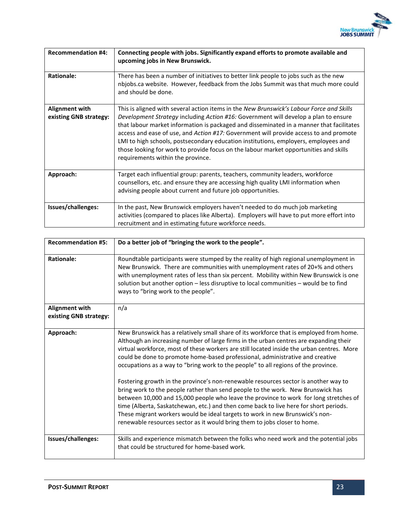

| <b>Recommendation #4:</b>                       | Connecting people with jobs. Significantly expand efforts to promote available and<br>upcoming jobs in New Brunswick.                                                                                                                                                                                                                                                                                                                                                                                                                                                                     |
|-------------------------------------------------|-------------------------------------------------------------------------------------------------------------------------------------------------------------------------------------------------------------------------------------------------------------------------------------------------------------------------------------------------------------------------------------------------------------------------------------------------------------------------------------------------------------------------------------------------------------------------------------------|
| <b>Rationale:</b>                               | There has been a number of initiatives to better link people to jobs such as the new<br>nbjobs.ca website. However, feedback from the Jobs Summit was that much more could<br>and should be done.                                                                                                                                                                                                                                                                                                                                                                                         |
| <b>Alignment with</b><br>existing GNB strategy: | This is aligned with several action items in the New Brunswick's Labour Force and Skills<br>Development Strategy including Action #16: Government will develop a plan to ensure<br>that labour market information is packaged and disseminated in a manner that facilitates<br>access and ease of use, and Action #17: Government will provide access to and promote<br>LMI to high schools, postsecondary education institutions, employers, employees and<br>those looking for work to provide focus on the labour market opportunities and skills<br>requirements within the province. |
| Approach:                                       | Target each influential group: parents, teachers, community leaders, workforce<br>counsellors, etc. and ensure they are accessing high quality LMI information when<br>advising people about current and future job opportunities.                                                                                                                                                                                                                                                                                                                                                        |
| Issues/challenges:                              | In the past, New Brunswick employers haven't needed to do much job marketing<br>activities (compared to places like Alberta). Employers will have to put more effort into<br>recruitment and in estimating future workforce needs.                                                                                                                                                                                                                                                                                                                                                        |

| <b>Recommendation #5:</b>                       | Do a better job of "bringing the work to the people".                                                                                                                                                                                                                                                                                                                                                                                                                                                                                                                                                                                                                                                                                                                                                                                                                                                                                                                         |
|-------------------------------------------------|-------------------------------------------------------------------------------------------------------------------------------------------------------------------------------------------------------------------------------------------------------------------------------------------------------------------------------------------------------------------------------------------------------------------------------------------------------------------------------------------------------------------------------------------------------------------------------------------------------------------------------------------------------------------------------------------------------------------------------------------------------------------------------------------------------------------------------------------------------------------------------------------------------------------------------------------------------------------------------|
| <b>Rationale:</b>                               | Roundtable participants were stumped by the reality of high regional unemployment in<br>New Brunswick. There are communities with unemployment rates of 20+% and others<br>with unemployment rates of less than six percent. Mobility within New Brunswick is one<br>solution but another option - less disruptive to local communities - would be to find<br>ways to "bring work to the people".                                                                                                                                                                                                                                                                                                                                                                                                                                                                                                                                                                             |
| <b>Alignment with</b><br>existing GNB strategy: | n/a                                                                                                                                                                                                                                                                                                                                                                                                                                                                                                                                                                                                                                                                                                                                                                                                                                                                                                                                                                           |
| Approach:                                       | New Brunswick has a relatively small share of its workforce that is employed from home.<br>Although an increasing number of large firms in the urban centres are expanding their<br>virtual workforce, most of these workers are still located inside the urban centres. More<br>could be done to promote home-based professional, administrative and creative<br>occupations as a way to "bring work to the people" to all regions of the province.<br>Fostering growth in the province's non-renewable resources sector is another way to<br>bring work to the people rather than send people to the work. New Brunswick has<br>between 10,000 and 15,000 people who leave the province to work for long stretches of<br>time (Alberta, Saskatchewan, etc.) and then come back to live here for short periods.<br>These migrant workers would be ideal targets to work in new Brunswick's non-<br>renewable resources sector as it would bring them to jobs closer to home. |
| Issues/challenges:                              | Skills and experience mismatch between the folks who need work and the potential jobs<br>that could be structured for home-based work.                                                                                                                                                                                                                                                                                                                                                                                                                                                                                                                                                                                                                                                                                                                                                                                                                                        |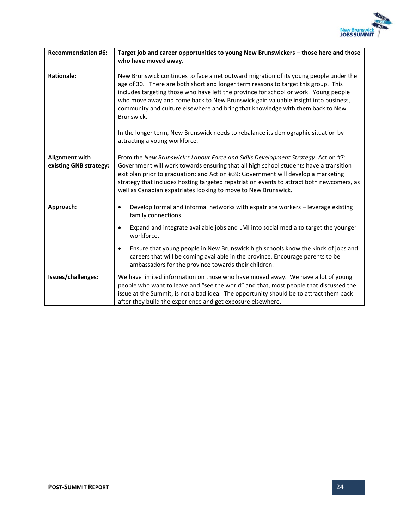

| <b>Recommendation #6:</b>                       | Target job and career opportunities to young New Brunswickers - those here and those<br>who have moved away.                                                                                                                                                                                                                                                                                                                                                                                                                                                                   |
|-------------------------------------------------|--------------------------------------------------------------------------------------------------------------------------------------------------------------------------------------------------------------------------------------------------------------------------------------------------------------------------------------------------------------------------------------------------------------------------------------------------------------------------------------------------------------------------------------------------------------------------------|
| <b>Rationale:</b>                               | New Brunswick continues to face a net outward migration of its young people under the<br>age of 30. There are both short and longer term reasons to target this group. This<br>includes targeting those who have left the province for school or work. Young people<br>who move away and come back to New Brunswick gain valuable insight into business,<br>community and culture elsewhere and bring that knowledge with them back to New<br>Brunswick.<br>In the longer term, New Brunswick needs to rebalance its demographic situation by<br>attracting a young workforce. |
| <b>Alignment with</b><br>existing GNB strategy: | From the New Brunswick's Labour Force and Skills Development Strategy: Action #7:<br>Government will work towards ensuring that all high school students have a transition<br>exit plan prior to graduation; and Action #39: Government will develop a marketing<br>strategy that includes hosting targeted repatriation events to attract both newcomers, as<br>well as Canadian expatriates looking to move to New Brunswick.                                                                                                                                                |
| Approach:                                       | Develop formal and informal networks with expatriate workers - leverage existing<br>$\bullet$<br>family connections.<br>Expand and integrate available jobs and LMI into social media to target the younger<br>٠<br>workforce.<br>Ensure that young people in New Brunswick high schools know the kinds of jobs and<br>$\bullet$<br>careers that will be coming available in the province. Encourage parents to be<br>ambassadors for the province towards their children.                                                                                                     |
| Issues/challenges:                              | We have limited information on those who have moved away. We have a lot of young<br>people who want to leave and "see the world" and that, most people that discussed the<br>issue at the Summit, is not a bad idea. The opportunity should be to attract them back<br>after they build the experience and get exposure elsewhere.                                                                                                                                                                                                                                             |